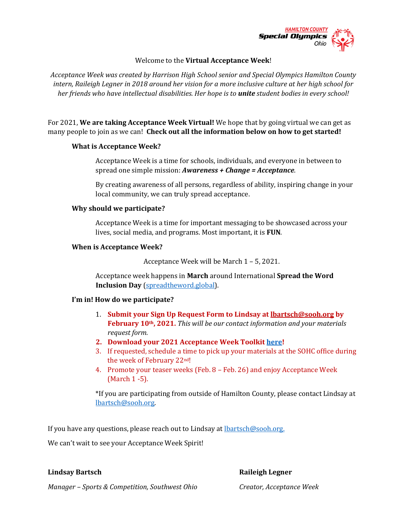

#### Welcome to the **Virtual Acceptance Week**!

*Acceptance Week was created by Harrison High School senior and Special Olympics Hamilton County intern, Raileigh Legner in 2018 around her vision for a more inclusive culture at her high school for her friends who have intellectual disabilities. Her hope is to unite student bodies in every school!*

For 2021, **We are taking Acceptance Week Virtual!** We hope that by going virtual we can get as many people to join as we can! **Check out all the information below on how to get started!** 

#### **What is Acceptance Week?**

Acceptance Week is a time for schools, individuals, and everyone in between to spread one simple mission: *Awareness + Change = Acceptance*.

By creating awareness of all persons, regardless of ability, inspiring change in your local community, we can truly spread acceptance.

#### **Why should we participate?**

Acceptance Week is a time for important messaging to be showcased across your lives, social media, and programs. Most important, it is **FUN**.

#### **When is Acceptance Week?**

Acceptance Week will be March 1 – 5, 2021.

Acceptance week happens in **March** around International **Spread the Word Inclusion Day** [\(spreadtheword.global\)](spreadtheword.global).

#### **I'm in! How do we participate?**

- 1. **Submit your Sign Up Request Form to Lindsay at [lbartsch@sooh.org](mailto:lbartsch@sooh.org) by February 10th, 2021.** *This will be our contact information and your materials request form.*
- **2. Download your 2021 Acceptance Week Toolkit [here!](https://www.dropbox.com/sh/81zjervd945xehd/AADT3U8GuFF0i99wjHM983i0a?dl=0)**
- 3. If requested, schedule a time to pick up your materials at the SOHC office during the week of February 22nd!
- 4. Promote your teaser weeks (Feb. 8 Feb. 26) and enjoy Acceptance Week (March 1 -5).

\*If you are participating from outside of Hamilton County, please contact Lindsay at [lbartsch@sooh.org.](mailto:lbartsch@sooh.org)

If you have any questions, please reach out to Lindsay a[t lbartsch@sooh.org.](mailto:lbartsch@sooh.org)

We can't wait to see your Acceptance Week Spirit!

#### **Lindsay Bartsch Raileigh Legner**

*Manager – Sports & Competition, Southwest Ohio Creator, Acceptance Week*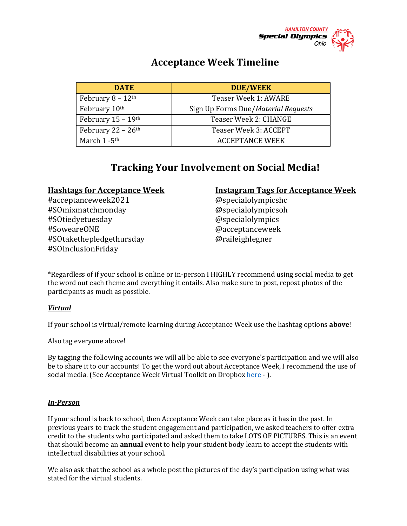

# **Acceptance Week Timeline**

| <b>DATE</b>                      | <b>DUE/WEEK</b>                     |
|----------------------------------|-------------------------------------|
| February $8 - 12$ <sup>th</sup>  | Teaser Week 1: AWARE                |
| February 10th                    | Sign Up Forms Due/Material Requests |
| February $15 - 19$ <sup>th</sup> | Teaser Week 2: CHANGE               |
| February $22 - 26$ <sup>th</sup> | Teaser Week 3: ACCEPT               |
| March 1 - 5 <sup>th</sup>        | <b>ACCEPTANCE WEEK</b>              |

# **Tracking Your Involvement on Social Media!**

#acceptanceweek2021 @specialolympicshc #SOmixmatchmonday @specialolympicsoh #SOtiedyetuesday @specialolympics #SoweareONE @acceptanceweek #SOtakethepledgethursday @raileighlegner #SOInclusionFriday

#### **Hashtags for Acceptance Week Instagram Tags for Acceptance Week**

\*Regardless of if your school is online or in-person I HIGHLY recommend using social media to get the word out each theme and everything it entails. Also make sure to post, repost photos of the participants as much as possible.

#### *Virtual*

If your school is virtual/remote learning during Acceptance Week use the hashtag options **above**!

Also tag everyone above!

By tagging the following accounts we will all be able to see everyone's participation and we will also be to share it to our accounts! To get the word out about Acceptance Week, I recommend the use of social media. (See Acceptance Week Virtual Toolkit on Dropbo[x here](https://www.dropbox.com/sh/81zjervd945xehd/AADT3U8GuFF0i99wjHM983i0a?dl=0) - ).

#### *In-Person*

If your school is back to school, then Acceptance Week can take place as it has in the past. In previous years to track the student engagement and participation, we asked teachers to offer extra credit to the students who participated and asked them to take LOTS OF PICTURES. This is an event that should become an **annual** event to help your student body learn to accept the students with intellectual disabilities at your school.

We also ask that the school as a whole post the pictures of the day's participation using what was stated for the virtual students.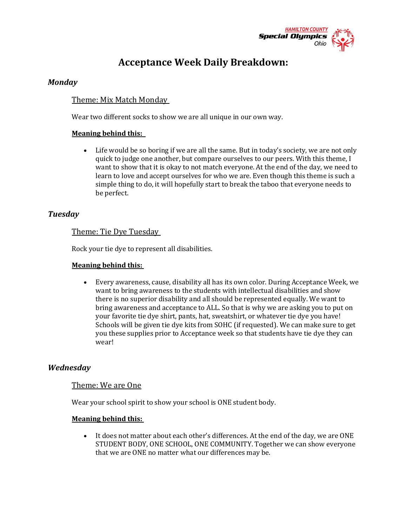

# **Acceptance Week Daily Breakdown:**

## *Monday*

# Theme: Mix Match Monday

Wear two different socks to show we are all unique in our own way.

### **Meaning behind this:**

• Life would be so boring if we are all the same. But in today's society, we are not only quick to judge one another, but compare ourselves to our peers. With this theme, I want to show that it is okay to not match everyone. At the end of the day, we need to learn to love and accept ourselves for who we are. Even though this theme is such a simple thing to do, it will hopefully start to break the taboo that everyone needs to be perfect.

## *Tuesday*

#### Theme: Tie Dye Tuesday

Rock your tie dye to represent all disabilities.

#### **Meaning behind this:**

• Every awareness, cause, disability all has its own color. During Acceptance Week, we want to bring awareness to the students with intellectual disabilities and show there is no superior disability and all should be represented equally. We want to bring awareness and acceptance to ALL. So that is why we are asking you to put on your favorite tie dye shirt, pants, hat, sweatshirt, or whatever tie dye you have! Schools will be given tie dye kits from SOHC (if requested). We can make sure to get you these supplies prior to Acceptance week so that students have tie dye they can wear!

## *Wednesday*

#### Theme: We are One

Wear your school spirit to show your school is ONE student body.

#### **Meaning behind this:**

• It does not matter about each other's differences. At the end of the day, we are ONE STUDENT BODY, ONE SCHOOL, ONE COMMUNITY. Together we can show everyone that we are ONE no matter what our differences may be.